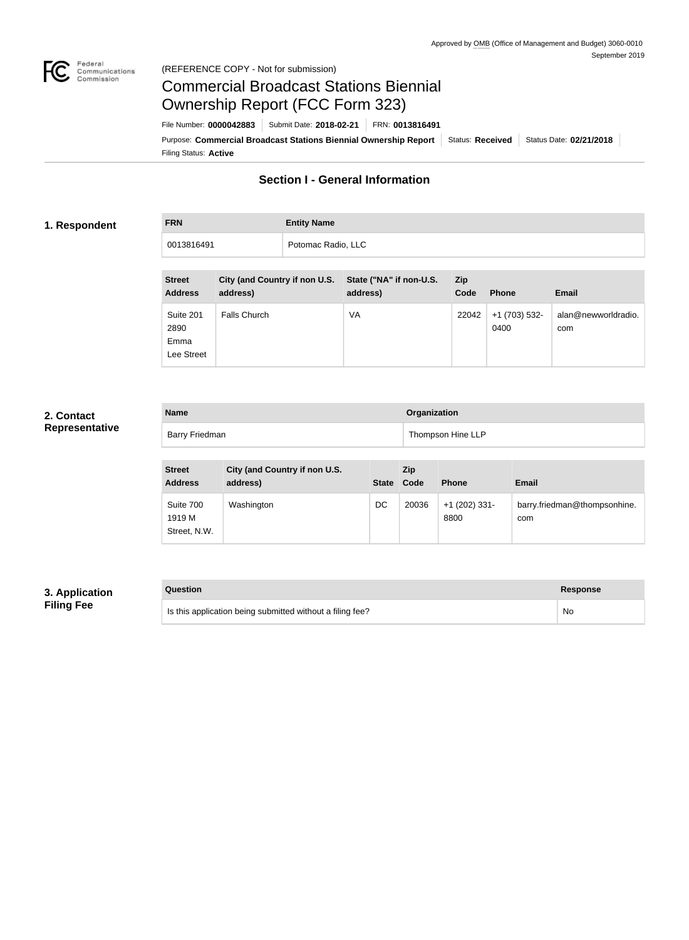

#### Federal<br>Communications<br>Commission (REFERENCE COPY - Not for submission)

# Commercial Broadcast Stations Biennial Ownership Report (FCC Form 323)

Filing Status: **Active** Purpose: Commercial Broadcast Stations Biennial Ownership Report Status: Received Status Date: 02/21/2018 File Number: **0000042883** Submit Date: **2018-02-21** FRN: **0013816491**

# **Section I - General Information**

## **1. Respondent**

**FRN Entity Name** 0013816491 Potomac Radio, LLC

| <b>Street</b><br><b>Address</b>         | City (and Country if non U.S.<br>address) | State ("NA" if non-U.S.<br>address) | Zip<br>Code | <b>Phone</b>          | <b>Email</b>               |
|-----------------------------------------|-------------------------------------------|-------------------------------------|-------------|-----------------------|----------------------------|
| Suite 201<br>2890<br>Emma<br>Lee Street | <b>Falls Church</b>                       | VA                                  | 22042       | +1 (703) 532-<br>0400 | alan@newworldradio.<br>com |

## **2. Contact Representative**

| <b>Name</b>    | Organization      |
|----------------|-------------------|
| Barry Friedman | Thompson Hine LLP |

| <b>Street</b><br><b>Address</b>     | City (and Country if non U.S.<br>address) |    | Zip<br>State Code | <b>Phone</b>            | <b>Email</b>                        |
|-------------------------------------|-------------------------------------------|----|-------------------|-------------------------|-------------------------------------|
| Suite 700<br>1919 M<br>Street, N.W. | Washington                                | DC | 20036             | $+1$ (202) 331-<br>8800 | barry.friedman@thompsonhine.<br>com |

# **3. Application Filing Fee**

| Question                                                  | Response  |
|-----------------------------------------------------------|-----------|
| Is this application being submitted without a filing fee? | <b>No</b> |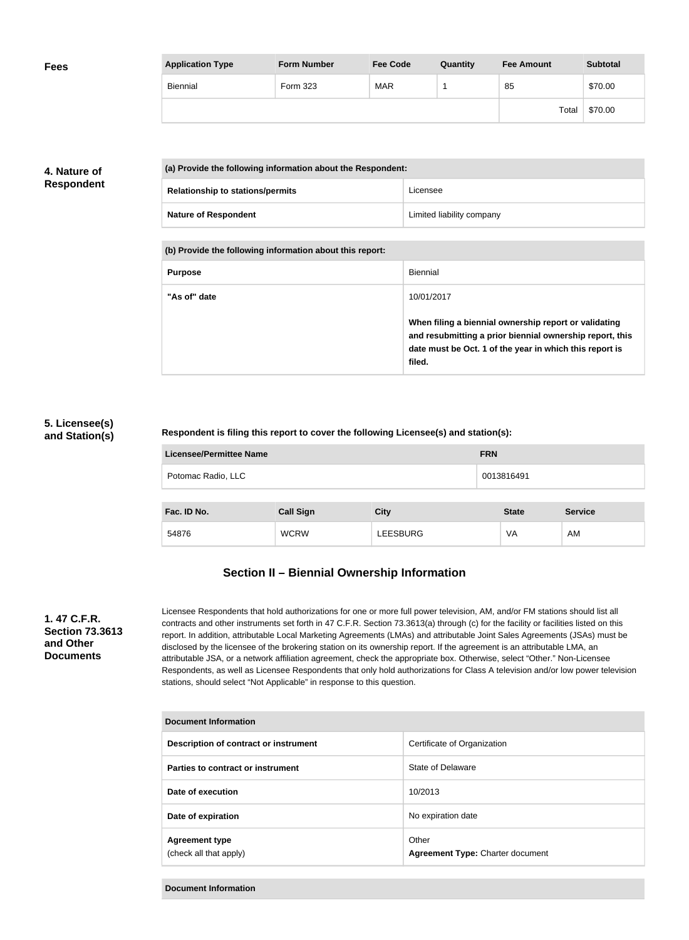| <b>Fees</b> | <b>Application Type</b> | <b>Form Number</b> | <b>Fee Code</b> | Quantity | <b>Fee Amount</b> | <b>Subtotal</b> |
|-------------|-------------------------|--------------------|-----------------|----------|-------------------|-----------------|
|             | Biennial                | Form 323           | <b>MAR</b>      |          | 85                | \$70.00         |
|             |                         |                    |                 |          | Total             | \$70.00         |

# **4. Nature of Respondent**

| (a) Provide the following information about the Respondent: |                           |  |
|-------------------------------------------------------------|---------------------------|--|
| <b>Relationship to stations/permits</b>                     | Licensee                  |  |
| <b>Nature of Respondent</b>                                 | Limited liability company |  |

**(b) Provide the following information about this report:**

| <b>Purpose</b> | Biennial                                                                                                                                                                               |
|----------------|----------------------------------------------------------------------------------------------------------------------------------------------------------------------------------------|
| "As of" date   | 10/01/2017                                                                                                                                                                             |
|                | When filing a biennial ownership report or validating<br>and resubmitting a prior biennial ownership report, this<br>date must be Oct. 1 of the year in which this report is<br>filed. |

### **5. Licensee(s) and Station(s)**

#### **Respondent is filing this report to cover the following Licensee(s) and station(s):**

| Licensee/Permittee Name | <b>FRN</b> |
|-------------------------|------------|
| Potomac Radio, LLC      | 0013816491 |
|                         |            |

| Fac. ID No. | <b>Call Sign</b> | City            | <b>State</b> | <b>Service</b> |
|-------------|------------------|-----------------|--------------|----------------|
| 54876       | <b>WCRW</b>      | <b>LEESBURG</b> | VA           | AM             |

# **Section II – Biennial Ownership Information**

#### **1. 47 C.F.R. Section 73.3613 and Other Documents**

Licensee Respondents that hold authorizations for one or more full power television, AM, and/or FM stations should list all contracts and other instruments set forth in 47 C.F.R. Section 73.3613(a) through (c) for the facility or facilities listed on this report. In addition, attributable Local Marketing Agreements (LMAs) and attributable Joint Sales Agreements (JSAs) must be disclosed by the licensee of the brokering station on its ownership report. If the agreement is an attributable LMA, an attributable JSA, or a network affiliation agreement, check the appropriate box. Otherwise, select "Other." Non-Licensee Respondents, as well as Licensee Respondents that only hold authorizations for Class A television and/or low power television stations, should select "Not Applicable" in response to this question.

| Document Information                            |                                                  |  |
|-------------------------------------------------|--------------------------------------------------|--|
| Description of contract or instrument           | Certificate of Organization                      |  |
| Parties to contract or instrument               | State of Delaware                                |  |
| Date of execution                               | 10/2013                                          |  |
| Date of expiration                              | No expiration date                               |  |
| <b>Agreement type</b><br>(check all that apply) | Other<br><b>Agreement Type: Charter document</b> |  |

**Document Information**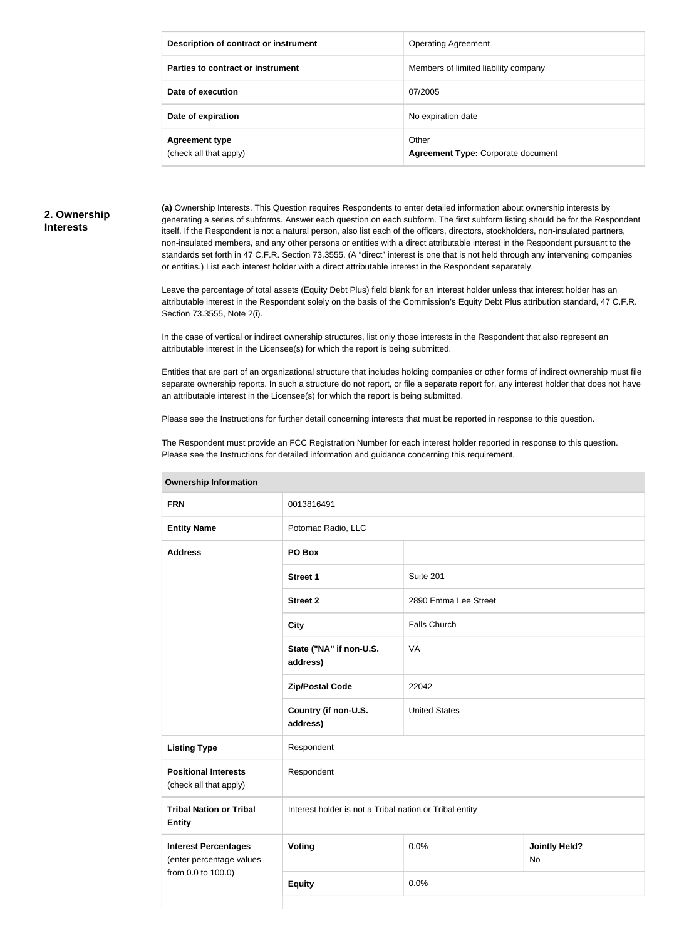| Description of contract or instrument           | <b>Operating Agreement</b>                         |
|-------------------------------------------------|----------------------------------------------------|
| Parties to contract or instrument               | Members of limited liability company               |
| Date of execution                               | 07/2005                                            |
| Date of expiration                              | No expiration date                                 |
| <b>Agreement type</b><br>(check all that apply) | Other<br><b>Agreement Type: Corporate document</b> |

#### **2. Ownership Interests**

**(a)** Ownership Interests. This Question requires Respondents to enter detailed information about ownership interests by generating a series of subforms. Answer each question on each subform. The first subform listing should be for the Respondent itself. If the Respondent is not a natural person, also list each of the officers, directors, stockholders, non-insulated partners, non-insulated members, and any other persons or entities with a direct attributable interest in the Respondent pursuant to the standards set forth in 47 C.F.R. Section 73.3555. (A "direct" interest is one that is not held through any intervening companies or entities.) List each interest holder with a direct attributable interest in the Respondent separately.

Leave the percentage of total assets (Equity Debt Plus) field blank for an interest holder unless that interest holder has an attributable interest in the Respondent solely on the basis of the Commission's Equity Debt Plus attribution standard, 47 C.F.R. Section 73.3555, Note 2(i).

In the case of vertical or indirect ownership structures, list only those interests in the Respondent that also represent an attributable interest in the Licensee(s) for which the report is being submitted.

Entities that are part of an organizational structure that includes holding companies or other forms of indirect ownership must file separate ownership reports. In such a structure do not report, or file a separate report for, any interest holder that does not have an attributable interest in the Licensee(s) for which the report is being submitted.

Please see the Instructions for further detail concerning interests that must be reported in response to this question.

The Respondent must provide an FCC Registration Number for each interest holder reported in response to this question. Please see the Instructions for detailed information and guidance concerning this requirement.

| Ownership information                                   |                                                         |                      |                                   |  |
|---------------------------------------------------------|---------------------------------------------------------|----------------------|-----------------------------------|--|
| <b>FRN</b>                                              | 0013816491                                              |                      |                                   |  |
| <b>Entity Name</b>                                      | Potomac Radio, LLC                                      |                      |                                   |  |
| <b>Address</b>                                          | PO Box                                                  |                      |                                   |  |
|                                                         | <b>Street 1</b>                                         | Suite 201            |                                   |  |
|                                                         | <b>Street 2</b>                                         | 2890 Emma Lee Street |                                   |  |
|                                                         | <b>City</b>                                             | <b>Falls Church</b>  |                                   |  |
|                                                         | State ("NA" if non-U.S.<br>address)                     | VA                   |                                   |  |
|                                                         | <b>Zip/Postal Code</b>                                  | 22042                |                                   |  |
|                                                         | Country (if non-U.S.<br>address)                        | <b>United States</b> |                                   |  |
| <b>Listing Type</b>                                     | Respondent                                              |                      |                                   |  |
| <b>Positional Interests</b><br>(check all that apply)   | Respondent                                              |                      |                                   |  |
| <b>Tribal Nation or Tribal</b><br><b>Entity</b>         | Interest holder is not a Tribal nation or Tribal entity |                      |                                   |  |
| <b>Interest Percentages</b><br>(enter percentage values | <b>Voting</b>                                           | 0.0%                 | <b>Jointly Held?</b><br><b>No</b> |  |
| from 0.0 to 100.0)                                      | <b>Equity</b>                                           | 0.0%                 |                                   |  |
|                                                         |                                                         |                      |                                   |  |

**Ownership Information**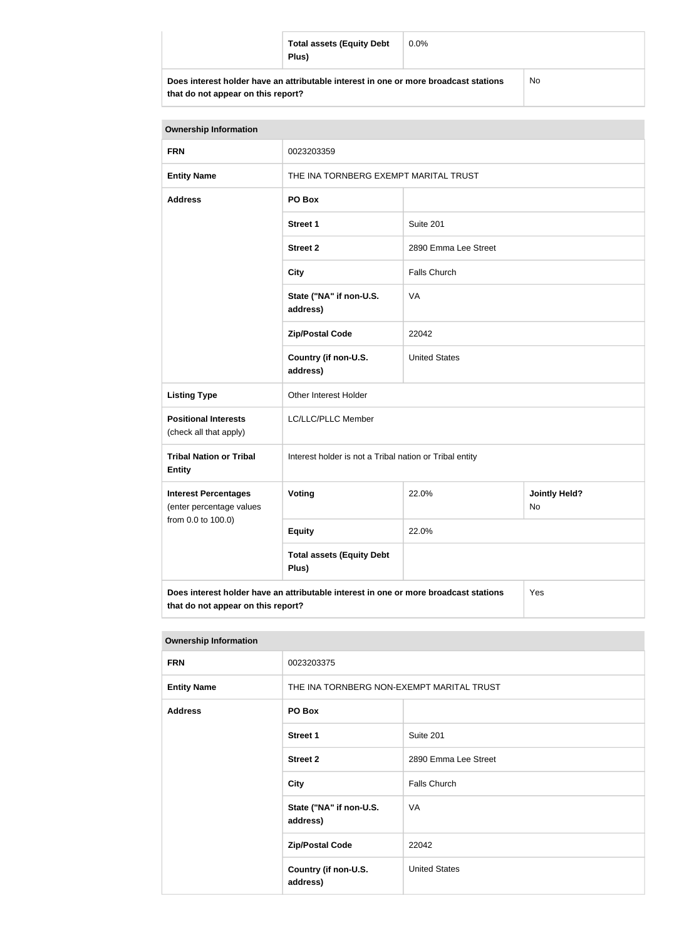| <b>Total assets (Equity Debt</b><br>Plus)                                            | $0.0\%$ |    |
|--------------------------------------------------------------------------------------|---------|----|
| Does interest holder have an attributable interest in one or more broadcast stations |         | No |

**that do not appear on this report?**

No

| <b>Ownership Information</b>                                                                |                                                         |                                       |  |  |
|---------------------------------------------------------------------------------------------|---------------------------------------------------------|---------------------------------------|--|--|
| <b>FRN</b>                                                                                  | 0023203359                                              |                                       |  |  |
| <b>Entity Name</b>                                                                          |                                                         | THE INA TORNBERG EXEMPT MARITAL TRUST |  |  |
| <b>Address</b>                                                                              | PO Box                                                  |                                       |  |  |
|                                                                                             | <b>Street 1</b>                                         | Suite 201                             |  |  |
|                                                                                             | <b>Street 2</b>                                         | 2890 Emma Lee Street                  |  |  |
|                                                                                             | <b>City</b>                                             | <b>Falls Church</b>                   |  |  |
|                                                                                             | State ("NA" if non-U.S.<br>address)                     | VA                                    |  |  |
|                                                                                             | <b>Zip/Postal Code</b>                                  | 22042                                 |  |  |
|                                                                                             | Country (if non-U.S.<br>address)                        | <b>United States</b>                  |  |  |
| <b>Listing Type</b>                                                                         | Other Interest Holder                                   |                                       |  |  |
| <b>Positional Interests</b><br>(check all that apply)                                       | LC/LLC/PLLC Member                                      |                                       |  |  |
| <b>Tribal Nation or Tribal</b><br><b>Entity</b>                                             | Interest holder is not a Tribal nation or Tribal entity |                                       |  |  |
| <b>Interest Percentages</b><br>(enter percentage values                                     | Voting<br>22.0%<br><b>Jointly Held?</b><br>No           |                                       |  |  |
| from 0.0 to 100.0)                                                                          | <b>Equity</b>                                           | 22.0%                                 |  |  |
|                                                                                             | <b>Total assets (Equity Debt</b><br>Plus)               |                                       |  |  |
| Does interest holder have an attributable interest in one or more broadcast stations<br>Yes |                                                         |                                       |  |  |

**that do not appear on this report?**

| <b>Ownership Information</b> |                                           |                      |
|------------------------------|-------------------------------------------|----------------------|
| <b>FRN</b>                   | 0023203375                                |                      |
| <b>Entity Name</b>           | THE INA TORNBERG NON-EXEMPT MARITAL TRUST |                      |
| <b>Address</b>               | PO Box                                    |                      |
|                              | <b>Street 1</b>                           | Suite 201            |
|                              | <b>Street 2</b>                           | 2890 Emma Lee Street |
|                              | <b>City</b>                               | <b>Falls Church</b>  |
|                              | State ("NA" if non-U.S.<br>address)       | VA                   |
|                              | <b>Zip/Postal Code</b>                    | 22042                |
|                              | Country (if non-U.S.<br>address)          | <b>United States</b> |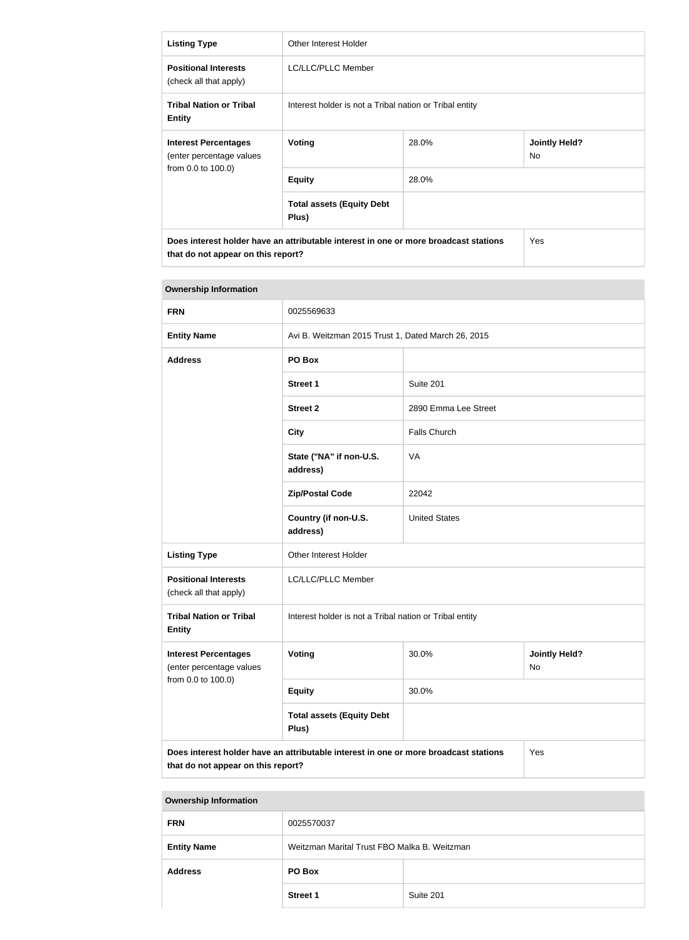| <b>Listing Type</b>                                                                                                        | Other Interest Holder                                   |       |                             |
|----------------------------------------------------------------------------------------------------------------------------|---------------------------------------------------------|-------|-----------------------------|
| <b>Positional Interests</b><br>(check all that apply)                                                                      | LC/LLC/PLLC Member                                      |       |                             |
| <b>Tribal Nation or Tribal</b><br><b>Entity</b>                                                                            | Interest holder is not a Tribal nation or Tribal entity |       |                             |
| <b>Interest Percentages</b><br>(enter percentage values                                                                    | Voting                                                  | 28.0% | <b>Jointly Held?</b><br>No. |
| from 0.0 to 100.0)                                                                                                         | <b>Equity</b>                                           | 28.0% |                             |
|                                                                                                                            | <b>Total assets (Equity Debt</b><br>Plus)               |       |                             |
| Does interest holder have an attributable interest in one or more broadcast stations<br>that do not appear on this report? |                                                         |       | Yes                         |

| <b>Ownership Information</b>                                                                                                      |                                                         |                      |                            |
|-----------------------------------------------------------------------------------------------------------------------------------|---------------------------------------------------------|----------------------|----------------------------|
| <b>FRN</b>                                                                                                                        | 0025569633                                              |                      |                            |
| <b>Entity Name</b>                                                                                                                | Avi B. Weitzman 2015 Trust 1, Dated March 26, 2015      |                      |                            |
| <b>Address</b>                                                                                                                    | PO Box                                                  |                      |                            |
|                                                                                                                                   | <b>Street 1</b>                                         | Suite 201            |                            |
|                                                                                                                                   | <b>Street 2</b>                                         | 2890 Emma Lee Street |                            |
|                                                                                                                                   | <b>City</b>                                             | <b>Falls Church</b>  |                            |
|                                                                                                                                   | State ("NA" if non-U.S.<br>address)                     | <b>VA</b>            |                            |
|                                                                                                                                   | <b>Zip/Postal Code</b>                                  | 22042                |                            |
|                                                                                                                                   | Country (if non-U.S.<br>address)                        | <b>United States</b> |                            |
| <b>Listing Type</b>                                                                                                               | Other Interest Holder                                   |                      |                            |
| <b>Positional Interests</b><br>(check all that apply)                                                                             | LC/LLC/PLLC Member                                      |                      |                            |
| <b>Tribal Nation or Tribal</b><br><b>Entity</b>                                                                                   | Interest holder is not a Tribal nation or Tribal entity |                      |                            |
| <b>Interest Percentages</b><br>(enter percentage values                                                                           | Voting                                                  | 30.0%                | <b>Jointly Held?</b><br>No |
| from 0.0 to 100.0)                                                                                                                | <b>Equity</b>                                           | 30.0%                |                            |
|                                                                                                                                   | <b>Total assets (Equity Debt</b><br>Plus)               |                      |                            |
| Does interest holder have an attributable interest in one or more broadcast stations<br>Yes<br>that do not appear on this report? |                                                         |                      |                            |

| <b>Ownership Information</b> |                                              |           |
|------------------------------|----------------------------------------------|-----------|
| <b>FRN</b>                   | 0025570037                                   |           |
| <b>Entity Name</b>           | Weitzman Marital Trust FBO Malka B. Weitzman |           |
| <b>Address</b>               | PO Box                                       |           |
|                              | <b>Street 1</b>                              | Suite 201 |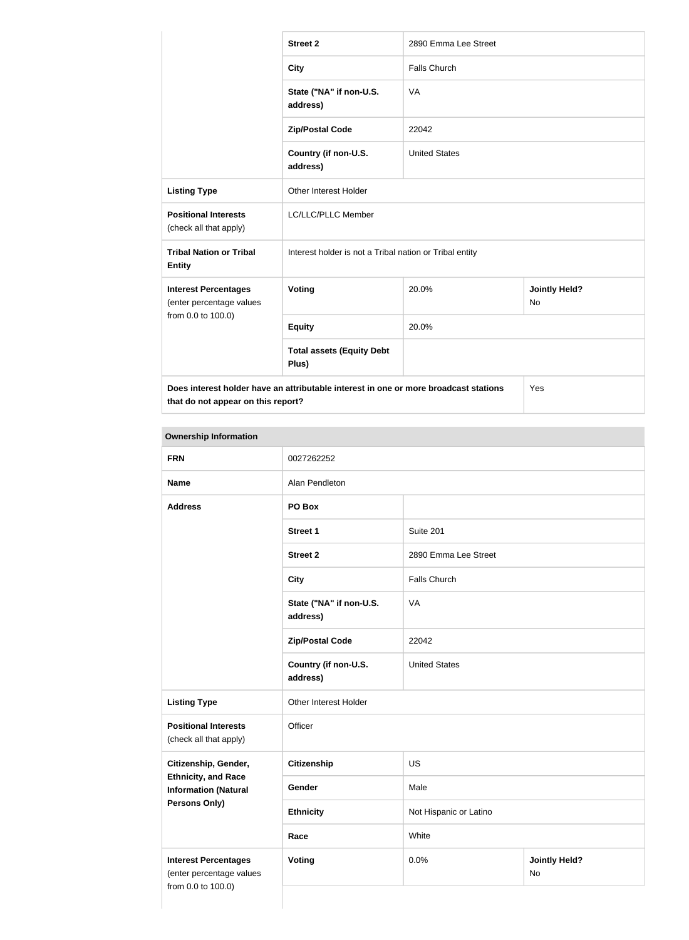|                                                                                                                            | <b>Street 2</b>                                         | 2890 Emma Lee Street |                                   |
|----------------------------------------------------------------------------------------------------------------------------|---------------------------------------------------------|----------------------|-----------------------------------|
|                                                                                                                            | <b>City</b>                                             | <b>Falls Church</b>  |                                   |
|                                                                                                                            | State ("NA" if non-U.S.<br>address)                     | <b>VA</b>            |                                   |
|                                                                                                                            | <b>Zip/Postal Code</b>                                  | 22042                |                                   |
|                                                                                                                            | Country (if non-U.S.<br>address)                        | <b>United States</b> |                                   |
| <b>Listing Type</b>                                                                                                        | Other Interest Holder                                   |                      |                                   |
| <b>Positional Interests</b><br>(check all that apply)                                                                      | LC/LLC/PLLC Member                                      |                      |                                   |
| <b>Tribal Nation or Tribal</b><br><b>Entity</b>                                                                            | Interest holder is not a Tribal nation or Tribal entity |                      |                                   |
| <b>Interest Percentages</b><br>(enter percentage values                                                                    | Voting                                                  | 20.0%                | <b>Jointly Held?</b><br><b>No</b> |
| from 0.0 to 100.0)                                                                                                         | <b>Equity</b>                                           | 20.0%                |                                   |
|                                                                                                                            | <b>Total assets (Equity Debt</b><br>Plus)               |                      |                                   |
| Does interest holder have an attributable interest in one or more broadcast stations<br>that do not appear on this report? |                                                         |                      | Yes                               |

#### **Ownership Information**

| <b>FRN</b>                                                                    | 0027262252                          |                        |                                   |
|-------------------------------------------------------------------------------|-------------------------------------|------------------------|-----------------------------------|
| <b>Name</b>                                                                   | Alan Pendleton                      |                        |                                   |
| <b>Address</b>                                                                | PO Box                              |                        |                                   |
|                                                                               | <b>Street 1</b>                     | Suite 201              |                                   |
|                                                                               | <b>Street 2</b>                     | 2890 Emma Lee Street   |                                   |
|                                                                               | <b>City</b>                         | <b>Falls Church</b>    |                                   |
|                                                                               | State ("NA" if non-U.S.<br>address) | VA                     |                                   |
|                                                                               | <b>Zip/Postal Code</b>              | 22042                  |                                   |
|                                                                               | Country (if non-U.S.<br>address)    | <b>United States</b>   |                                   |
| <b>Listing Type</b>                                                           | Other Interest Holder               |                        |                                   |
| <b>Positional Interests</b><br>(check all that apply)                         | Officer                             |                        |                                   |
| Citizenship, Gender,                                                          | <b>Citizenship</b>                  | <b>US</b>              |                                   |
| <b>Ethnicity, and Race</b><br><b>Information (Natural</b>                     | Gender                              | Male                   |                                   |
| <b>Persons Only)</b>                                                          | <b>Ethnicity</b>                    | Not Hispanic or Latino |                                   |
|                                                                               | Race                                | White                  |                                   |
| <b>Interest Percentages</b><br>(enter percentage values<br>from 0.0 to 100.0) | <b>Voting</b>                       | 0.0%                   | <b>Jointly Held?</b><br><b>No</b> |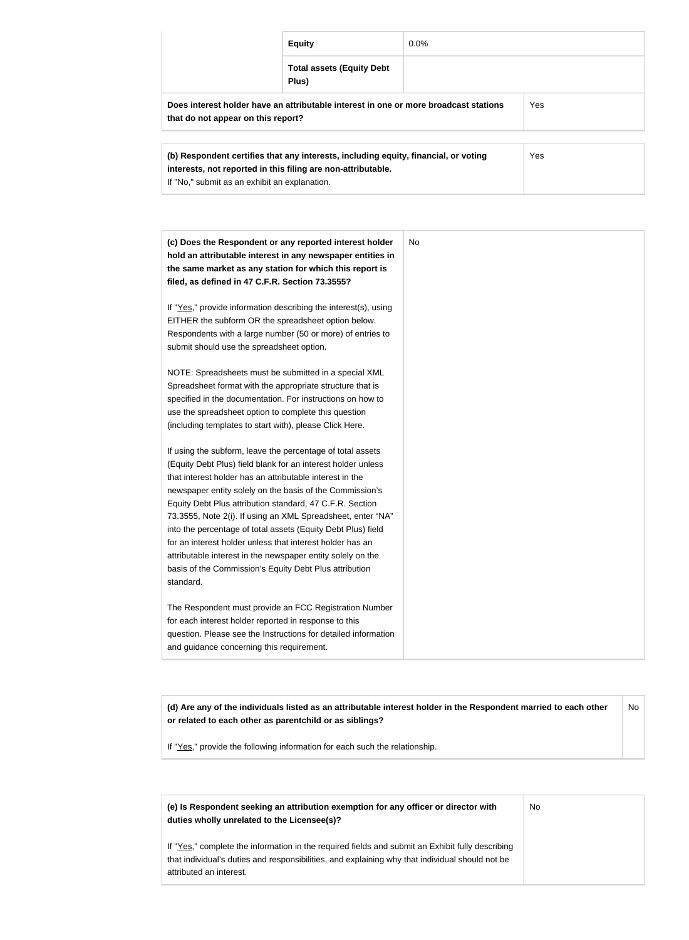|                                                                                                                                                                   | <b>Equity</b>                                                                        | $0.0\%$ |            |
|-------------------------------------------------------------------------------------------------------------------------------------------------------------------|--------------------------------------------------------------------------------------|---------|------------|
|                                                                                                                                                                   | <b>Total assets (Equity Debt</b><br>Plus)                                            |         |            |
| that do not appear on this report?                                                                                                                                | Does interest holder have an attributable interest in one or more broadcast stations |         | <b>Yes</b> |
| <b>Yes</b><br>(b) Respondent certifies that any interests, including equity, financial, or voting<br>interests, not reported in this filing are non-attributable. |                                                                                      |         |            |

If "No," submit as an exhibit an explanation.

| (c) Does the Respondent or any reported interest holder<br>hold an attributable interest in any newspaper entities in<br>the same market as any station for which this report is<br>filed, as defined in 47 C.F.R. Section 73.3555?                                                                                                                                                                                                                                                                                                                                                                                                              | No |
|--------------------------------------------------------------------------------------------------------------------------------------------------------------------------------------------------------------------------------------------------------------------------------------------------------------------------------------------------------------------------------------------------------------------------------------------------------------------------------------------------------------------------------------------------------------------------------------------------------------------------------------------------|----|
| If "Yes," provide information describing the interest(s), using<br>EITHER the subform OR the spreadsheet option below.<br>Respondents with a large number (50 or more) of entries to<br>submit should use the spreadsheet option.                                                                                                                                                                                                                                                                                                                                                                                                                |    |
| NOTE: Spreadsheets must be submitted in a special XML<br>Spreadsheet format with the appropriate structure that is<br>specified in the documentation. For instructions on how to<br>use the spreadsheet option to complete this question<br>(including templates to start with), please Click Here.                                                                                                                                                                                                                                                                                                                                              |    |
| If using the subform, leave the percentage of total assets<br>(Equity Debt Plus) field blank for an interest holder unless<br>that interest holder has an attributable interest in the<br>newspaper entity solely on the basis of the Commission's<br>Equity Debt Plus attribution standard, 47 C.F.R. Section<br>73.3555, Note 2(i). If using an XML Spreadsheet, enter "NA"<br>into the percentage of total assets (Equity Debt Plus) field<br>for an interest holder unless that interest holder has an<br>attributable interest in the newspaper entity solely on the<br>basis of the Commission's Equity Debt Plus attribution<br>standard. |    |
| The Respondent must provide an FCC Registration Number<br>for each interest holder reported in response to this<br>question. Please see the Instructions for detailed information<br>and guidance concerning this requirement.                                                                                                                                                                                                                                                                                                                                                                                                                   |    |

**(d) Are any of the individuals listed as an attributable interest holder in the Respondent married to each other or related to each other as parentchild or as siblings?** No

If "Yes," provide the following information for each such the relationship.

| (e) Is Respondent seeking an attribution exemption for any officer or director with<br>duties wholly unrelated to the Licensee(s)?                                                                                             | No |
|--------------------------------------------------------------------------------------------------------------------------------------------------------------------------------------------------------------------------------|----|
| If "Yes," complete the information in the required fields and submit an Exhibit fully describing<br>that individual's duties and responsibilities, and explaining why that individual should not be<br>attributed an interest. |    |